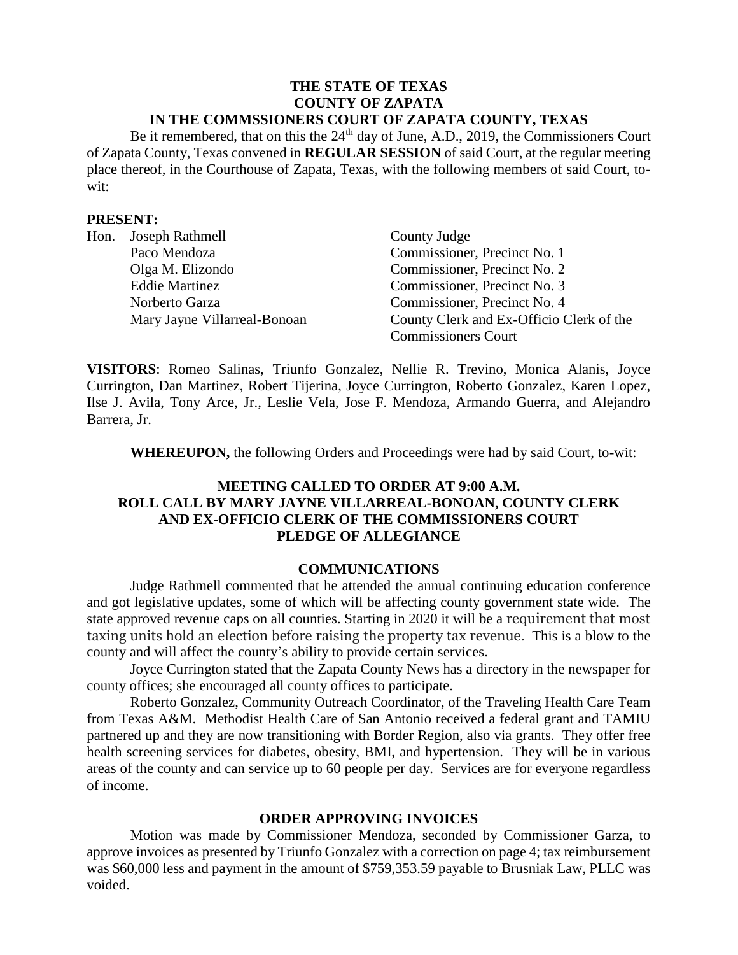### **THE STATE OF TEXAS COUNTY OF ZAPATA IN THE COMMSSIONERS COURT OF ZAPATA COUNTY, TEXAS**

Be it remembered, that on this the 24<sup>th</sup> day of June, A.D., 2019, the Commissioners Court of Zapata County, Texas convened in **REGULAR SESSION** of said Court, at the regular meeting place thereof, in the Courthouse of Zapata, Texas, with the following members of said Court, towit:

### **PRESENT:**

|  | Hon. Joseph Rathmell         | County Judge                             |
|--|------------------------------|------------------------------------------|
|  | Paco Mendoza                 | Commissioner, Precinct No. 1             |
|  | Olga M. Elizondo             | Commissioner, Precinct No. 2             |
|  | <b>Eddie Martinez</b>        | Commissioner, Precinct No. 3             |
|  | Norberto Garza               | Commissioner, Precinct No. 4             |
|  | Mary Jayne Villarreal-Bonoan | County Clerk and Ex-Officio Clerk of the |
|  |                              | <b>Commissioners Court</b>               |

**VISITORS**: Romeo Salinas, Triunfo Gonzalez, Nellie R. Trevino, Monica Alanis, Joyce Currington, Dan Martinez, Robert Tijerina, Joyce Currington, Roberto Gonzalez, Karen Lopez, Ilse J. Avila, Tony Arce, Jr., Leslie Vela, Jose F. Mendoza, Armando Guerra, and Alejandro Barrera, Jr.

**WHEREUPON,** the following Orders and Proceedings were had by said Court, to-wit:

## **MEETING CALLED TO ORDER AT 9:00 A.M. ROLL CALL BY MARY JAYNE VILLARREAL-BONOAN, COUNTY CLERK AND EX-OFFICIO CLERK OF THE COMMISSIONERS COURT PLEDGE OF ALLEGIANCE**

#### **COMMUNICATIONS**

Judge Rathmell commented that he attended the annual continuing education conference and got legislative updates, some of which will be affecting county government state wide. The state approved revenue caps on all counties. Starting in 2020 it will be a requirement that most taxing units hold an election before raising the property tax revenue. This is a blow to the county and will affect the county's ability to provide certain services.

Joyce Currington stated that the Zapata County News has a directory in the newspaper for county offices; she encouraged all county offices to participate.

Roberto Gonzalez, Community Outreach Coordinator, of the Traveling Health Care Team from Texas A&M. Methodist Health Care of San Antonio received a federal grant and TAMIU partnered up and they are now transitioning with Border Region, also via grants. They offer free health screening services for diabetes, obesity, BMI, and hypertension. They will be in various areas of the county and can service up to 60 people per day. Services are for everyone regardless of income.

### **ORDER APPROVING INVOICES**

Motion was made by Commissioner Mendoza, seconded by Commissioner Garza, to approve invoices as presented by Triunfo Gonzalez with a correction on page 4; tax reimbursement was \$60,000 less and payment in the amount of \$759,353.59 payable to Brusniak Law, PLLC was voided.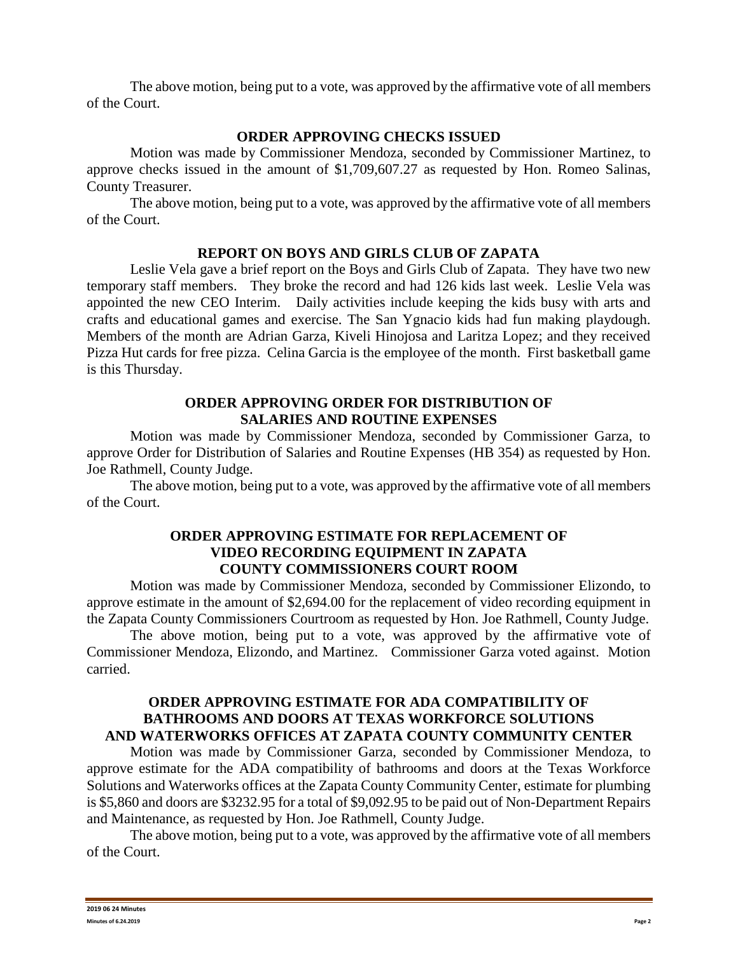The above motion, being put to a vote, was approved by the affirmative vote of all members of the Court.

# **ORDER APPROVING CHECKS ISSUED**

Motion was made by Commissioner Mendoza, seconded by Commissioner Martinez, to approve checks issued in the amount of \$1,709,607.27 as requested by Hon. Romeo Salinas, County Treasurer.

The above motion, being put to a vote, was approved by the affirmative vote of all members of the Court.

#### **REPORT ON BOYS AND GIRLS CLUB OF ZAPATA**

Leslie Vela gave a brief report on the Boys and Girls Club of Zapata. They have two new temporary staff members. They broke the record and had 126 kids last week. Leslie Vela was appointed the new CEO Interim. Daily activities include keeping the kids busy with arts and crafts and educational games and exercise. The San Ygnacio kids had fun making playdough. Members of the month are Adrian Garza, Kiveli Hinojosa and Laritza Lopez; and they received Pizza Hut cards for free pizza. Celina Garcia is the employee of the month. First basketball game is this Thursday.

#### **ORDER APPROVING ORDER FOR DISTRIBUTION OF SALARIES AND ROUTINE EXPENSES**

Motion was made by Commissioner Mendoza, seconded by Commissioner Garza, to approve Order for Distribution of Salaries and Routine Expenses (HB 354) as requested by Hon. Joe Rathmell, County Judge.

The above motion, being put to a vote, was approved by the affirmative vote of all members of the Court.

#### **ORDER APPROVING ESTIMATE FOR REPLACEMENT OF VIDEO RECORDING EQUIPMENT IN ZAPATA COUNTY COMMISSIONERS COURT ROOM**

Motion was made by Commissioner Mendoza, seconded by Commissioner Elizondo, to approve estimate in the amount of \$2,694.00 for the replacement of video recording equipment in the Zapata County Commissioners Courtroom as requested by Hon. Joe Rathmell, County Judge.

The above motion, being put to a vote, was approved by the affirmative vote of Commissioner Mendoza, Elizondo, and Martinez. Commissioner Garza voted against. Motion carried.

### **ORDER APPROVING ESTIMATE FOR ADA COMPATIBILITY OF BATHROOMS AND DOORS AT TEXAS WORKFORCE SOLUTIONS AND WATERWORKS OFFICES AT ZAPATA COUNTY COMMUNITY CENTER**

Motion was made by Commissioner Garza, seconded by Commissioner Mendoza, to approve estimate for the ADA compatibility of bathrooms and doors at the Texas Workforce Solutions and Waterworks offices at the Zapata County Community Center, estimate for plumbing is \$5,860 and doors are \$3232.95 for a total of \$9,092.95 to be paid out of Non-Department Repairs and Maintenance, as requested by Hon. Joe Rathmell, County Judge.

The above motion, being put to a vote, was approved by the affirmative vote of all members of the Court.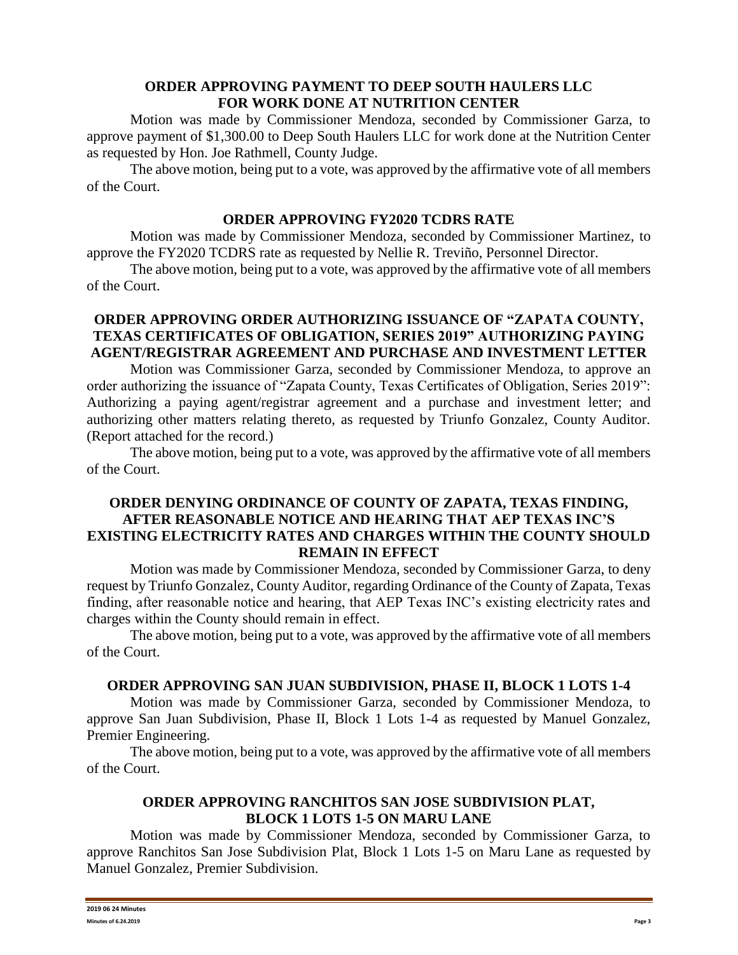# **ORDER APPROVING PAYMENT TO DEEP SOUTH HAULERS LLC FOR WORK DONE AT NUTRITION CENTER**

Motion was made by Commissioner Mendoza, seconded by Commissioner Garza, to approve payment of \$1,300.00 to Deep South Haulers LLC for work done at the Nutrition Center as requested by Hon. Joe Rathmell, County Judge.

The above motion, being put to a vote, was approved by the affirmative vote of all members of the Court.

## **ORDER APPROVING FY2020 TCDRS RATE**

Motion was made by Commissioner Mendoza, seconded by Commissioner Martinez, to approve the FY2020 TCDRS rate as requested by Nellie R. Treviño, Personnel Director.

The above motion, being put to a vote, was approved by the affirmative vote of all members of the Court.

# **ORDER APPROVING ORDER AUTHORIZING ISSUANCE OF "ZAPATA COUNTY, TEXAS CERTIFICATES OF OBLIGATION, SERIES 2019" AUTHORIZING PAYING AGENT/REGISTRAR AGREEMENT AND PURCHASE AND INVESTMENT LETTER**

Motion was Commissioner Garza, seconded by Commissioner Mendoza, to approve an order authorizing the issuance of "Zapata County, Texas Certificates of Obligation, Series 2019": Authorizing a paying agent/registrar agreement and a purchase and investment letter; and authorizing other matters relating thereto, as requested by Triunfo Gonzalez, County Auditor. (Report attached for the record.)

The above motion, being put to a vote, was approved by the affirmative vote of all members of the Court.

# **ORDER DENYING ORDINANCE OF COUNTY OF ZAPATA, TEXAS FINDING, AFTER REASONABLE NOTICE AND HEARING THAT AEP TEXAS INC'S EXISTING ELECTRICITY RATES AND CHARGES WITHIN THE COUNTY SHOULD REMAIN IN EFFECT**

Motion was made by Commissioner Mendoza, seconded by Commissioner Garza, to deny request by Triunfo Gonzalez, County Auditor, regarding Ordinance of the County of Zapata, Texas finding, after reasonable notice and hearing, that AEP Texas INC's existing electricity rates and charges within the County should remain in effect.

The above motion, being put to a vote, was approved by the affirmative vote of all members of the Court.

# **ORDER APPROVING SAN JUAN SUBDIVISION, PHASE II, BLOCK 1 LOTS 1-4**

Motion was made by Commissioner Garza, seconded by Commissioner Mendoza, to approve San Juan Subdivision, Phase II, Block 1 Lots 1-4 as requested by Manuel Gonzalez, Premier Engineering.

The above motion, being put to a vote, was approved by the affirmative vote of all members of the Court.

# **ORDER APPROVING RANCHITOS SAN JOSE SUBDIVISION PLAT, BLOCK 1 LOTS 1-5 ON MARU LANE**

Motion was made by Commissioner Mendoza, seconded by Commissioner Garza, to approve Ranchitos San Jose Subdivision Plat, Block 1 Lots 1-5 on Maru Lane as requested by Manuel Gonzalez, Premier Subdivision.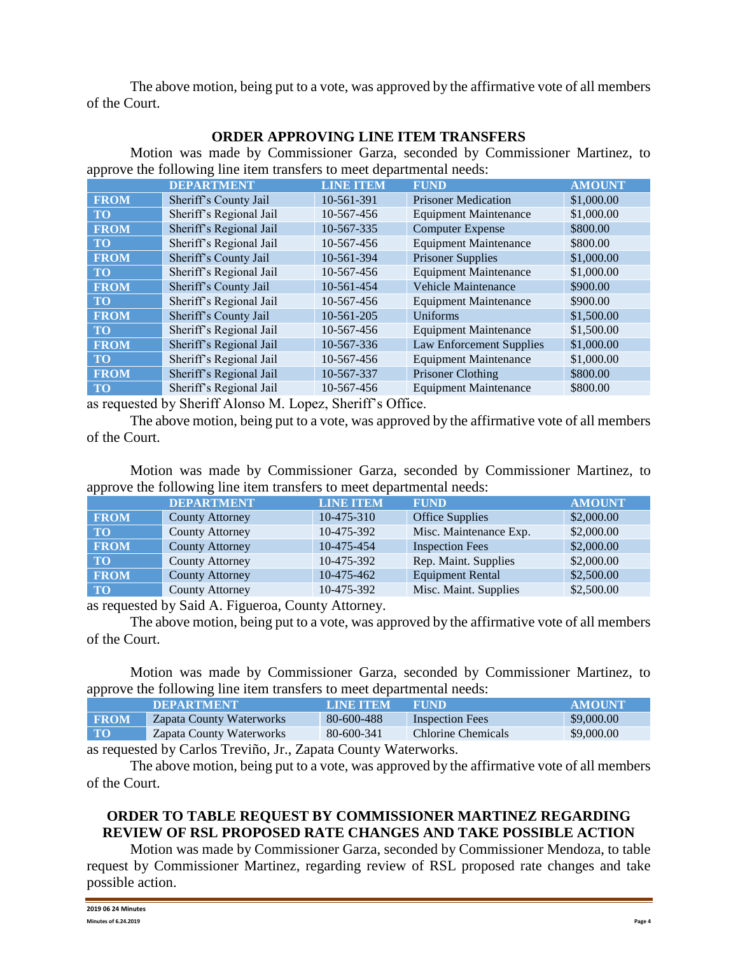The above motion, being put to a vote, was approved by the affirmative vote of all members of the Court.

# **ORDER APPROVING LINE ITEM TRANSFERS**

Motion was made by Commissioner Garza, seconded by Commissioner Martinez, to approve the following line item transfers to meet departmental needs:

|             | <b>DEPARTMENT</b>               | <b>LINE ITEM</b>                      | <b>FUND</b>                     | <b>AMOUNT</b> |
|-------------|---------------------------------|---------------------------------------|---------------------------------|---------------|
| <b>FROM</b> | Sheriff's County Jail           | 10-561-391                            | <b>Prisoner Medication</b>      | \$1,000.00    |
| <b>TO</b>   | Sheriff's Regional Jail         | 10-567-456                            | <b>Equipment Maintenance</b>    | \$1,000.00    |
| <b>FROM</b> | Sheriff's Regional Jail         | 10-567-335                            | <b>Computer Expense</b>         | \$800.00      |
| <b>TO</b>   | Sheriff's Regional Jail         | 10-567-456                            | <b>Equipment Maintenance</b>    | \$800.00      |
| <b>FROM</b> | Sheriff's County Jail           | 10-561-394                            | <b>Prisoner Supplies</b>        | \$1,000.00    |
| <b>TO</b>   | Sheriff's Regional Jail         | 10-567-456                            | <b>Equipment Maintenance</b>    | \$1,000.00    |
| <b>FROM</b> | Sheriff's County Jail           | 10-561-454                            | <b>Vehicle Maintenance</b>      | \$900.00      |
| <b>TO</b>   | Sheriff's Regional Jail         | 10-567-456                            | <b>Equipment Maintenance</b>    | \$900.00      |
| <b>FROM</b> | Sheriff's County Jail           | 10-561-205                            | Uniforms                        | \$1,500.00    |
| <b>TO</b>   | Sheriff's Regional Jail         | 10-567-456                            | <b>Equipment Maintenance</b>    | \$1,500.00    |
| <b>FROM</b> | Sheriff's Regional Jail         | 10-567-336                            | <b>Law Enforcement Supplies</b> | \$1,000.00    |
| <b>TO</b>   | Sheriff's Regional Jail         | 10-567-456                            | <b>Equipment Maintenance</b>    | \$1,000.00    |
| <b>FROM</b> | Sheriff's Regional Jail         | 10-567-337                            | Prisoner Clothing               | \$800.00      |
| <b>TO</b>   | Sheriff's Regional Jail         | 10-567-456                            | <b>Equipment Maintenance</b>    | \$800.00      |
|             | $\cdots$<br>$\sim$ 11 $\sim$ 01 | $\sim$ $\sim$<br>$\cdots$<br>$\sim$ 1 |                                 |               |

as requested by Sheriff Alonso M. Lopez, Sheriff's Office.

The above motion, being put to a vote, was approved by the affirmative vote of all members of the Court.

Motion was made by Commissioner Garza, seconded by Commissioner Martinez, to approve the following line item transfers to meet departmental needs:

|             | <b>DEPARTMENT</b>      | <b>LINE ITEM</b> | <b>FUND</b>             | <b>AMOUNT</b> |
|-------------|------------------------|------------------|-------------------------|---------------|
| <b>FROM</b> | <b>County Attorney</b> | $10-475-310$     | <b>Office Supplies</b>  | \$2,000.00    |
| <b>TO</b>   | <b>County Attorney</b> | 10-475-392       | Misc. Maintenance Exp.  | \$2,000.00    |
| <b>FROM</b> | <b>County Attorney</b> | 10-475-454       | <b>Inspection Fees</b>  | \$2,000.00    |
| <b>TO</b>   | <b>County Attorney</b> | 10-475-392       | Rep. Maint. Supplies    | \$2,000.00    |
| <b>FROM</b> | <b>County Attorney</b> | 10-475-462       | <b>Equipment Rental</b> | \$2,500.00    |
| <b>TO</b>   | <b>County Attorney</b> | 10-475-392       | Misc. Maint. Supplies   | \$2,500.00    |

as requested by Said A. Figueroa, County Attorney.

The above motion, being put to a vote, was approved by the affirmative vote of all members of the Court.

Motion was made by Commissioner Garza, seconded by Commissioner Martinez, to approve the following line item transfers to meet departmental needs:

|             | <b>DEPARTMENT</b>        | LINE TEM   | <b>FUND</b>            | <b>AMOUNT</b> |
|-------------|--------------------------|------------|------------------------|---------------|
| <b>FROM</b> | Zapata County Waterworks | 80-600-488 | <b>Inspection Fees</b> | \$9,000.00    |
| <b>TO</b>   | Zapata County Waterworks | 80-600-341 | Chlorine Chemicals     | \$9,000.00    |

as requested by Carlos Treviño, Jr., Zapata County Waterworks.

The above motion, being put to a vote, was approved by the affirmative vote of all members of the Court.

# **ORDER TO TABLE REQUEST BY COMMISSIONER MARTINEZ REGARDING REVIEW OF RSL PROPOSED RATE CHANGES AND TAKE POSSIBLE ACTION**

Motion was made by Commissioner Garza, seconded by Commissioner Mendoza, to table request by Commissioner Martinez, regarding review of RSL proposed rate changes and take possible action.